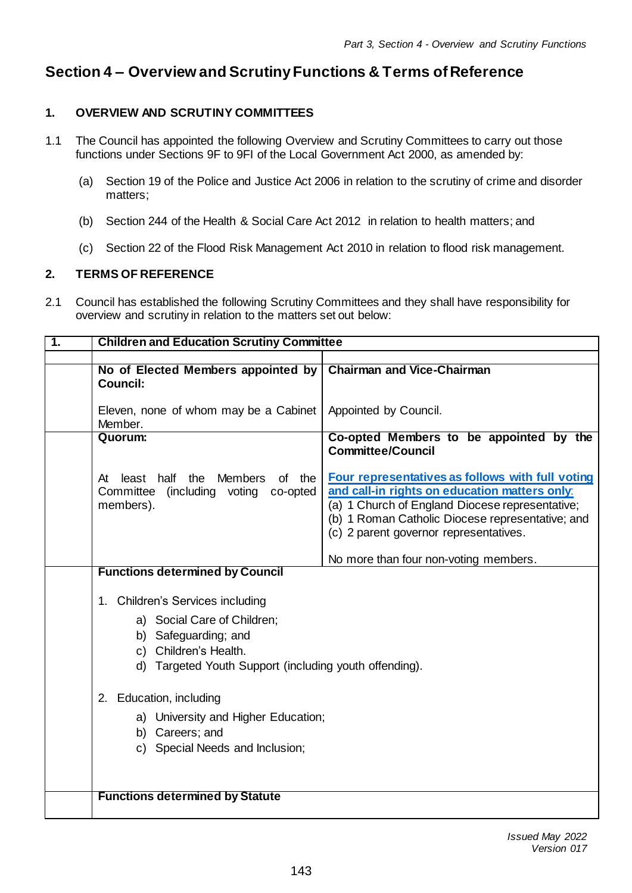# **Section 4 – Overview and Scrutiny Functions & Terms of Reference**

# **1. OVERVIEW AND SCRUTINY COMMITTEES**

- 1.1 The Council has appointed the following Overview and Scrutiny Committees to carry out those functions under Sections 9F to 9FI of the Local Government Act 2000, as amended by:
	- (a) Section 19 of the Police and Justice Act 2006 in relation to the scrutiny of crime and disorder matters;
	- (b) Section 244 of the Health & Social Care Act 2012 in relation to health matters; and
	- (c) Section 22 of the Flood Risk Management Act 2010 in relation to flood risk management.

# **2. TERMS OF REFERENCE**

2.1 Council has established the following Scrutiny Committees and they shall have responsibility for overview and scrutiny in relation to the matters set out below:

| 1. | <b>Children and Education Scrutiny Committee</b>                                                                                                                                 |                                                                                                                                                                                                                                                    |  |
|----|----------------------------------------------------------------------------------------------------------------------------------------------------------------------------------|----------------------------------------------------------------------------------------------------------------------------------------------------------------------------------------------------------------------------------------------------|--|
|    | No of Elected Members appointed by<br><b>Council:</b>                                                                                                                            | <b>Chairman and Vice-Chairman</b>                                                                                                                                                                                                                  |  |
|    | Eleven, none of whom may be a Cabinet<br>Member.                                                                                                                                 | Appointed by Council.                                                                                                                                                                                                                              |  |
|    | Quorum:                                                                                                                                                                          | Co-opted Members to be appointed by the<br><b>Committee/Council</b>                                                                                                                                                                                |  |
|    | least half the<br><b>Members</b><br>of the<br>At<br>(including voting<br>Committee<br>co-opted<br>members).                                                                      | Four representatives as follows with full voting<br>and call-in rights on education matters only:<br>(a) 1 Church of England Diocese representative;<br>(b) 1 Roman Catholic Diocese representative; and<br>(c) 2 parent governor representatives. |  |
|    |                                                                                                                                                                                  | No more than four non-voting members.                                                                                                                                                                                                              |  |
|    | <b>Functions determined by Council</b>                                                                                                                                           |                                                                                                                                                                                                                                                    |  |
|    | 1. Children's Services including<br>a) Social Care of Children;<br>b) Safeguarding; and<br>Children's Health.<br>C)<br>Targeted Youth Support (including youth offending).<br>d) |                                                                                                                                                                                                                                                    |  |
|    | 2. Education, including                                                                                                                                                          |                                                                                                                                                                                                                                                    |  |
|    | University and Higher Education;<br>a)<br>b) Careers; and<br>c) Special Needs and Inclusion;                                                                                     |                                                                                                                                                                                                                                                    |  |
|    | <b>Functions determined by Statute</b>                                                                                                                                           |                                                                                                                                                                                                                                                    |  |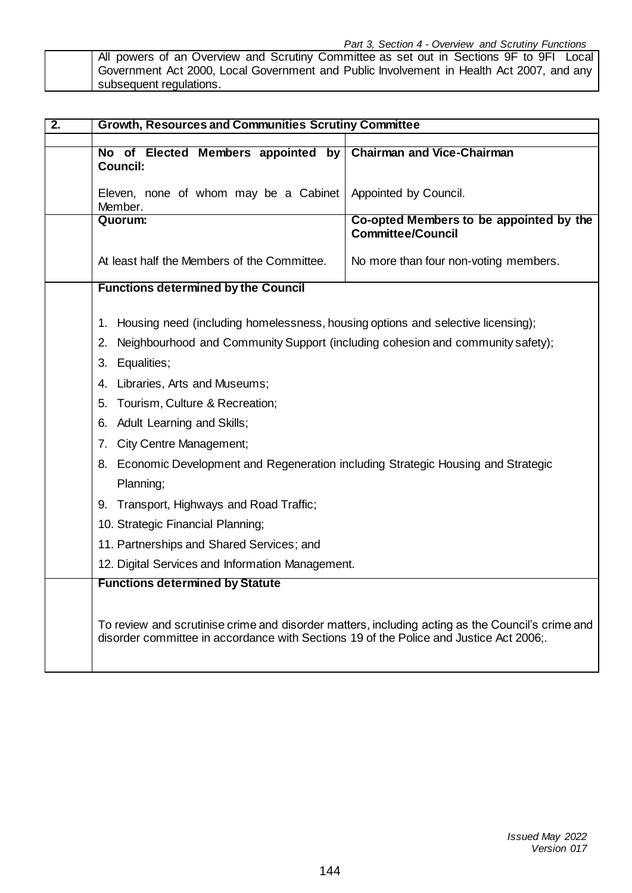All powers of an Overview and Scrutiny Committee as set out in Sections 9F to 9FI Local Government Act 2000, Local Government and Public Involvement in Health Act 2007, and any subsequent regulations.

| $\overline{2}$ . | <b>Growth, Resources and Communities Scrutiny Committee</b>                                                                                                                               |                                                                     |  |
|------------------|-------------------------------------------------------------------------------------------------------------------------------------------------------------------------------------------|---------------------------------------------------------------------|--|
|                  | No of Elected Members appointed by<br><b>Council:</b>                                                                                                                                     | <b>Chairman and Vice-Chairman</b>                                   |  |
|                  | Eleven, none of whom may be a Cabinet<br>Member.                                                                                                                                          | Appointed by Council.                                               |  |
|                  | Quorum:                                                                                                                                                                                   | Co-opted Members to be appointed by the<br><b>Committee/Council</b> |  |
|                  | At least half the Members of the Committee.                                                                                                                                               | No more than four non-voting members.                               |  |
|                  | <b>Functions determined by the Council</b>                                                                                                                                                |                                                                     |  |
|                  | Housing need (including homelessness, housing options and selective licensing);<br>1.                                                                                                     |                                                                     |  |
|                  | Neighbourhood and Community Support (including cohesion and community safety);<br>2.                                                                                                      |                                                                     |  |
|                  | Equalities;<br>3.                                                                                                                                                                         |                                                                     |  |
|                  | Libraries, Arts and Museums;<br>4.                                                                                                                                                        |                                                                     |  |
|                  | Tourism, Culture & Recreation;<br>5.                                                                                                                                                      |                                                                     |  |
|                  | <b>Adult Learning and Skills;</b><br>6.                                                                                                                                                   |                                                                     |  |
|                  | <b>City Centre Management;</b><br>7.                                                                                                                                                      |                                                                     |  |
|                  | 8. Economic Development and Regeneration including Strategic Housing and Strategic                                                                                                        |                                                                     |  |
|                  | Planning;                                                                                                                                                                                 |                                                                     |  |
|                  | 9. Transport, Highways and Road Traffic;                                                                                                                                                  |                                                                     |  |
|                  | 10. Strategic Financial Planning;                                                                                                                                                         |                                                                     |  |
|                  | 11. Partnerships and Shared Services; and                                                                                                                                                 |                                                                     |  |
|                  | 12. Digital Services and Information Management.                                                                                                                                          |                                                                     |  |
|                  | <b>Functions determined by Statute</b>                                                                                                                                                    |                                                                     |  |
|                  | To review and scrutinise crime and disorder matters, including acting as the Council's crime and<br>disorder committee in accordance with Sections 19 of the Police and Justice Act 2006; |                                                                     |  |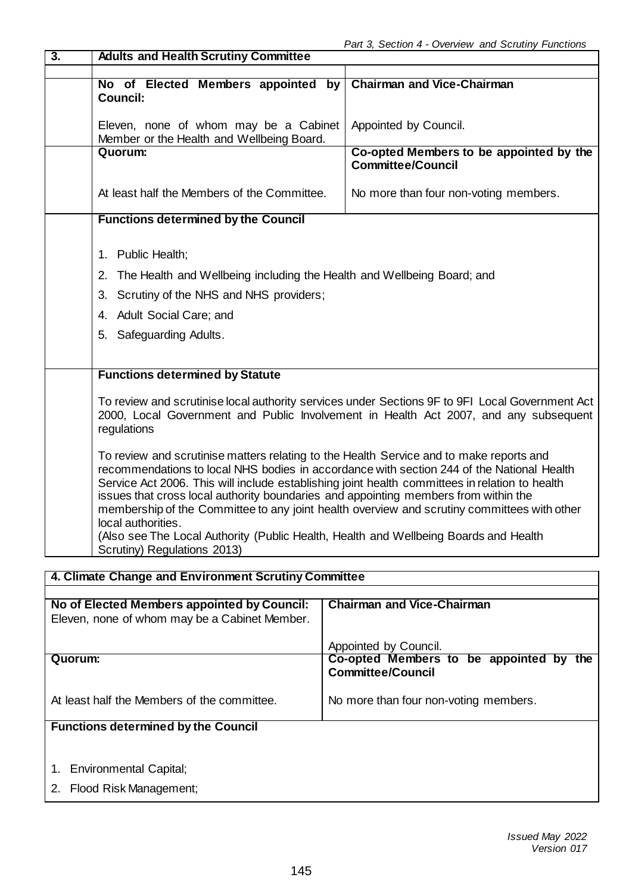| $\overline{3}$ .                                                                                                                  | <b>Adults and Health Scrutiny Committee</b>                                                                                                                                                                                                                                                                                                                                                                                                                                                                                                                                                                              |                                                                     |  |  |
|-----------------------------------------------------------------------------------------------------------------------------------|--------------------------------------------------------------------------------------------------------------------------------------------------------------------------------------------------------------------------------------------------------------------------------------------------------------------------------------------------------------------------------------------------------------------------------------------------------------------------------------------------------------------------------------------------------------------------------------------------------------------------|---------------------------------------------------------------------|--|--|
|                                                                                                                                   |                                                                                                                                                                                                                                                                                                                                                                                                                                                                                                                                                                                                                          |                                                                     |  |  |
|                                                                                                                                   | No of Elected Members appointed by<br><b>Council:</b>                                                                                                                                                                                                                                                                                                                                                                                                                                                                                                                                                                    | <b>Chairman and Vice-Chairman</b>                                   |  |  |
|                                                                                                                                   |                                                                                                                                                                                                                                                                                                                                                                                                                                                                                                                                                                                                                          |                                                                     |  |  |
|                                                                                                                                   | Eleven, none of whom may be a Cabinet<br>Member or the Health and Wellbeing Board.                                                                                                                                                                                                                                                                                                                                                                                                                                                                                                                                       | Appointed by Council.                                               |  |  |
|                                                                                                                                   | Quorum:                                                                                                                                                                                                                                                                                                                                                                                                                                                                                                                                                                                                                  | Co-opted Members to be appointed by the<br><b>Committee/Council</b> |  |  |
|                                                                                                                                   | At least half the Members of the Committee.                                                                                                                                                                                                                                                                                                                                                                                                                                                                                                                                                                              | No more than four non-voting members.                               |  |  |
|                                                                                                                                   | <b>Functions determined by the Council</b>                                                                                                                                                                                                                                                                                                                                                                                                                                                                                                                                                                               |                                                                     |  |  |
|                                                                                                                                   |                                                                                                                                                                                                                                                                                                                                                                                                                                                                                                                                                                                                                          |                                                                     |  |  |
|                                                                                                                                   | 1. Public Health;                                                                                                                                                                                                                                                                                                                                                                                                                                                                                                                                                                                                        |                                                                     |  |  |
|                                                                                                                                   | The Health and Wellbeing including the Health and Wellbeing Board; and<br>2.                                                                                                                                                                                                                                                                                                                                                                                                                                                                                                                                             |                                                                     |  |  |
|                                                                                                                                   | Scrutiny of the NHS and NHS providers;<br>3.                                                                                                                                                                                                                                                                                                                                                                                                                                                                                                                                                                             |                                                                     |  |  |
|                                                                                                                                   | 4. Adult Social Care; and                                                                                                                                                                                                                                                                                                                                                                                                                                                                                                                                                                                                |                                                                     |  |  |
|                                                                                                                                   | 5. Safeguarding Adults.                                                                                                                                                                                                                                                                                                                                                                                                                                                                                                                                                                                                  |                                                                     |  |  |
|                                                                                                                                   |                                                                                                                                                                                                                                                                                                                                                                                                                                                                                                                                                                                                                          |                                                                     |  |  |
|                                                                                                                                   | <b>Functions determined by Statute</b>                                                                                                                                                                                                                                                                                                                                                                                                                                                                                                                                                                                   |                                                                     |  |  |
|                                                                                                                                   | To review and scrutinise local authority services under Sections 9F to 9FI Local Government Act<br>2000, Local Government and Public Involvement in Health Act 2007, and any subsequent<br>regulations                                                                                                                                                                                                                                                                                                                                                                                                                   |                                                                     |  |  |
|                                                                                                                                   | To review and scrutinise matters relating to the Health Service and to make reports and<br>recommendations to local NHS bodies in accordance with section 244 of the National Health<br>Service Act 2006. This will include establishing joint health committees in relation to health<br>issues that cross local authority boundaries and appointing members from within the<br>membership of the Committee to any joint health overview and scrutiny committees with other<br>local authorities<br>(Also see The Local Authority (Public Health, Health and Wellbeing Boards and Health<br>Scrutiny) Regulations 2013) |                                                                     |  |  |
|                                                                                                                                   |                                                                                                                                                                                                                                                                                                                                                                                                                                                                                                                                                                                                                          |                                                                     |  |  |
| 4. Climate Change and Environment Scrutiny Committee                                                                              |                                                                                                                                                                                                                                                                                                                                                                                                                                                                                                                                                                                                                          |                                                                     |  |  |
| No of Elected Members appointed by Council:<br><b>Chairman and Vice-Chairman</b><br>Eleven, none of whom may be a Cabinet Member. |                                                                                                                                                                                                                                                                                                                                                                                                                                                                                                                                                                                                                          |                                                                     |  |  |

Appointed by Council. **Quorum:** At least half the Members of the committee. **Co-opted Members to be appointed by the Committee/Council** No more than four non-voting members.

# **Functions determined by the Council**

- 1. Environmental Capital;
- 2. Flood Risk Management;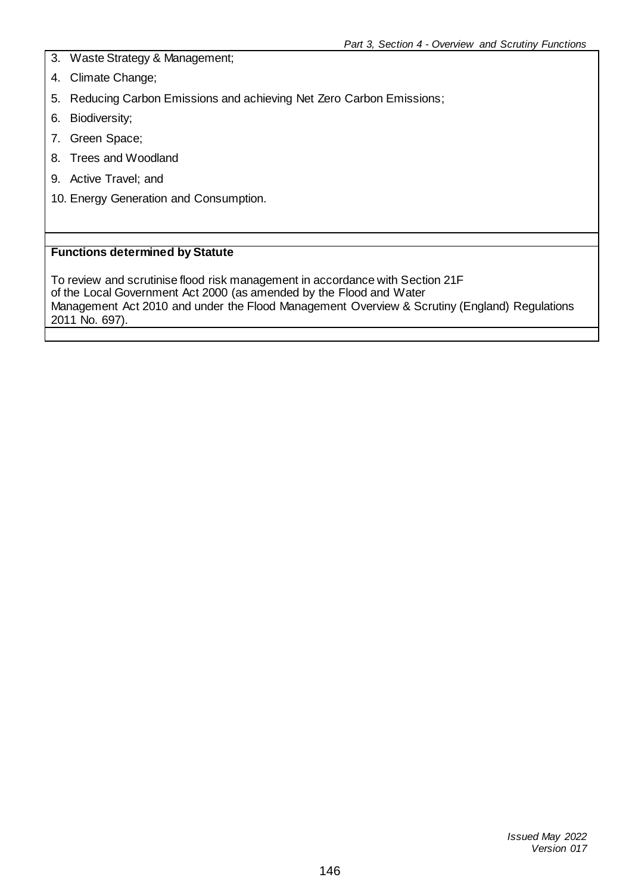- 3. Waste Strategy & Management;
- 4. Climate Change;
- 5. Reducing Carbon Emissions and achieving Net Zero Carbon Emissions;
- 6. Biodiversity;
- 7. Green Space;
- 8. Trees and Woodland
- 9. Active Travel; and
- 10. Energy Generation and Consumption.

#### **Functions determined by Statute**

To review and scrutinise flood risk management in accordance with Section 21F of the Local Government Act 2000 (as amended by the Flood and Water Management Act 2010 and under the Flood Management Overview & Scrutiny (England) Regulations 2011 No. 697).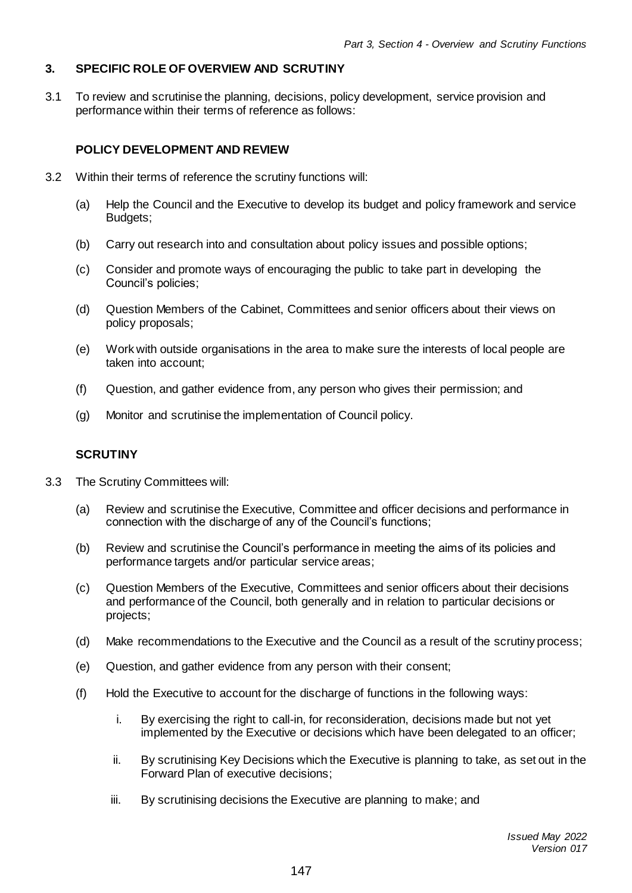# **3. SPECIFIC ROLE OF OVERVIEW AND SCRUTINY**

3.1 To review and scrutinise the planning, decisions, policy development, service provision and performance within their terms of reference as follows:

# **POLICY DEVELOPMENT AND REVIEW**

- 3.2 Within their terms of reference the scrutiny functions will:
	- (a) Help the Council and the Executive to develop its budget and policy framework and service Budgets;
	- (b) Carry out research into and consultation about policy issues and possible options;
	- (c) Consider and promote ways of encouraging the public to take part in developing the Council's policies;
	- (d) Question Members of the Cabinet, Committees and senior officers about their views on policy proposals;
	- (e) Work with outside organisations in the area to make sure the interests of local people are taken into account;
	- (f) Question, and gather evidence from, any person who gives their permission; and
	- (g) Monitor and scrutinise the implementation of Council policy.

#### **SCRUTINY**

- 3.3 The Scrutiny Committees will:
	- (a) Review and scrutinise the Executive, Committee and officer decisions and performance in connection with the discharge of any of the Council's functions;
	- (b) Review and scrutinise the Council's performance in meeting the aims of its policies and performance targets and/or particular service areas;
	- (c) Question Members of the Executive, Committees and senior officers about their decisions and performance of the Council, both generally and in relation to particular decisions or projects;
	- (d) Make recommendations to the Executive and the Council as a result of the scrutiny process;
	- (e) Question, and gather evidence from any person with their consent;
	- (f) Hold the Executive to account for the discharge of functions in the following ways:
		- i. By exercising the right to call-in, for reconsideration, decisions made but not yet implemented by the Executive or decisions which have been delegated to an officer;
		- ii. By scrutinising Key Decisions which the Executive is planning to take, as set out in the Forward Plan of executive decisions;
		- iii. By scrutinising decisions the Executive are planning to make; and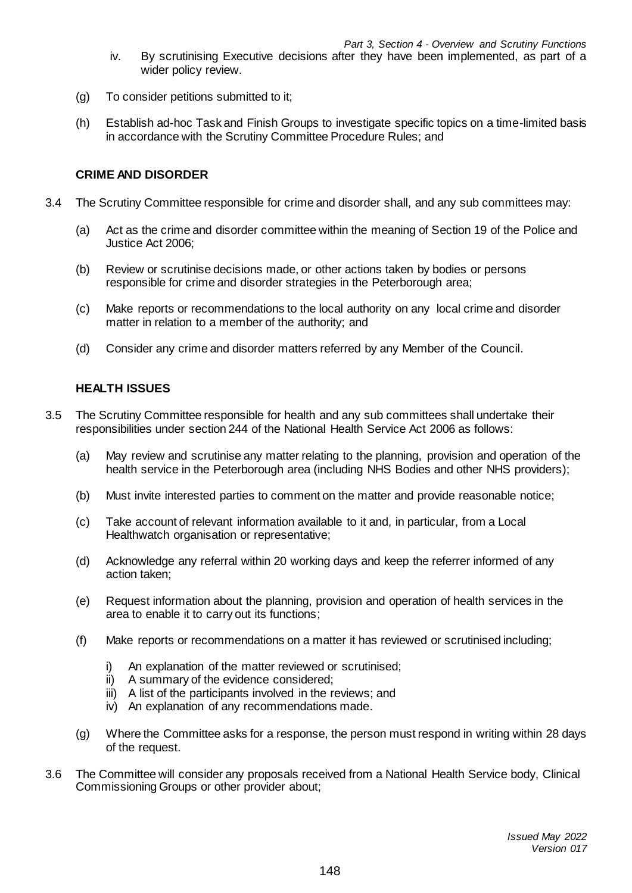- iv. By scrutinising Executive decisions after they have been implemented, as part of a wider policy review.
- (g) To consider petitions submitted to it;
- (h) Establish ad-hoc Task and Finish Groups to investigate specific topics on a time-limited basis in accordance with the Scrutiny Committee Procedure Rules; and

## **CRIME AND DISORDER**

- 3.4 The Scrutiny Committee responsible for crime and disorder shall, and any sub committees may:
	- (a) Act as the crime and disorder committee within the meaning of Section 19 of the Police and Justice Act 2006;
	- (b) Review or scrutinise decisions made, or other actions taken by bodies or persons responsible for crime and disorder strategies in the Peterborough area;
	- (c) Make reports or recommendations to the local authority on any local crime and disorder matter in relation to a member of the authority; and
	- (d) Consider any crime and disorder matters referred by any Member of the Council.

## **HEALTH ISSUES**

- 3.5 The Scrutiny Committee responsible for health and any sub committees shall undertake their responsibilities under section 244 of the National Health Service Act 2006 as follows:
	- (a) May review and scrutinise any matter relating to the planning, provision and operation of the health service in the Peterborough area (including NHS Bodies and other NHS providers);
	- (b) Must invite interested parties to comment on the matter and provide reasonable notice;
	- (c) Take account of relevant information available to it and, in particular, from a Local Healthwatch organisation or representative;
	- (d) Acknowledge any referral within 20 working days and keep the referrer informed of any action taken;
	- (e) Request information about the planning, provision and operation of health services in the area to enable it to carry out its functions;
	- (f) Make reports or recommendations on a matter it has reviewed or scrutinised including;
		- i) An explanation of the matter reviewed or scrutinised;
		- ii) A summary of the evidence considered;
		- iii) A list of the participants involved in the reviews; and
		- iv) An explanation of any recommendations made.
	- (g) Where the Committee asks for a response, the person must respond in writing within 28 days of the request.
- 3.6 The Committee will consider any proposals received from a National Health Service body, Clinical Commissioning Groups or other provider about;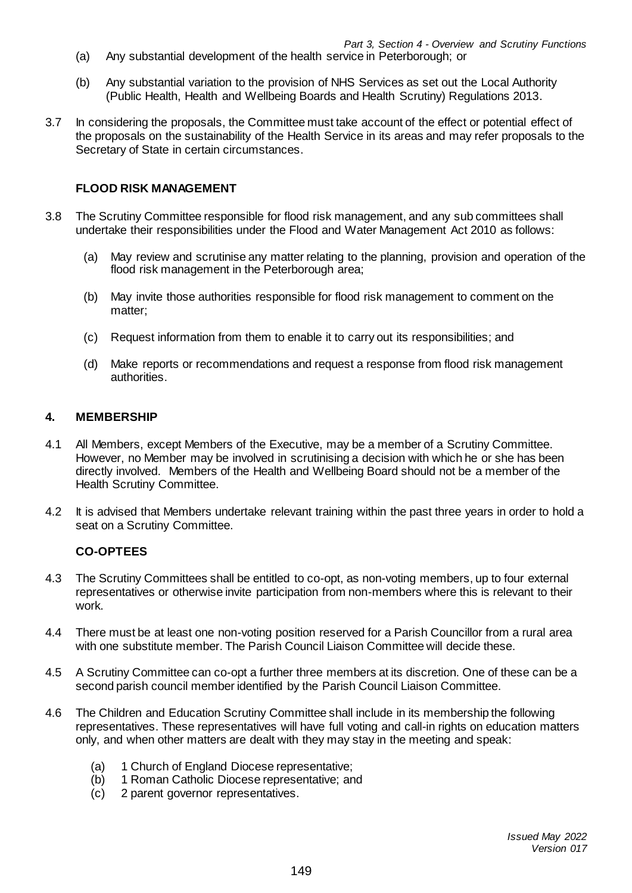- (a) Any substantial development of the health service in Peterborough; or
- (b) Any substantial variation to the provision of NHS Services as set out the Local Authority (Public Health, Health and Wellbeing Boards and Health Scrutiny) Regulations 2013.
- 3.7 In considering the proposals, the Committee must take account of the effect or potential effect of the proposals on the sustainability of the Health Service in its areas and may refer proposals to the Secretary of State in certain circumstances.

## **FLOOD RISK MANAGEMENT**

- 3.8 The Scrutiny Committee responsible for flood risk management, and any sub committees shall undertake their responsibilities under the Flood and Water Management Act 2010 as follows:
	- (a) May review and scrutinise any matter relating to the planning, provision and operation of the flood risk management in the Peterborough area;
	- (b) May invite those authorities responsible for flood risk management to comment on the matter;
	- (c) Request information from them to enable it to carry out its responsibilities; and
	- (d) Make reports or recommendations and request a response from flood risk management authorities.

## **4. MEMBERSHIP**

- 4.1 All Members, except Members of the Executive, may be a member of a Scrutiny Committee. However, no Member may be involved in scrutinising a decision with which he or she has been directly involved. Members of the Health and Wellbeing Board should not be a member of the Health Scrutiny Committee.
- 4.2 It is advised that Members undertake relevant training within the past three years in order to hold a seat on a Scrutiny Committee.

# **CO-OPTEES**

- 4.3 The Scrutiny Committees shall be entitled to co-opt, as non-voting members, up to four external representatives or otherwise invite participation from non-members where this is relevant to their work.
- 4.4 There must be at least one non-voting position reserved for a Parish Councillor from a rural area with one substitute member. The Parish Council Liaison Committee will decide these.
- 4.5 A Scrutiny Committee can co-opt a further three members at its discretion. One of these can be a second parish council member identified by the Parish Council Liaison Committee.
- 4.6 The Children and Education Scrutiny Committee shall include in its membership the following representatives. These representatives will have full voting and call-in rights on education matters only, and when other matters are dealt with they may stay in the meeting and speak:
	- (a) 1 Church of England Diocese representative;
	- (b) 1 Roman Catholic Diocese representative; and
	- (c) 2 parent governor representatives.